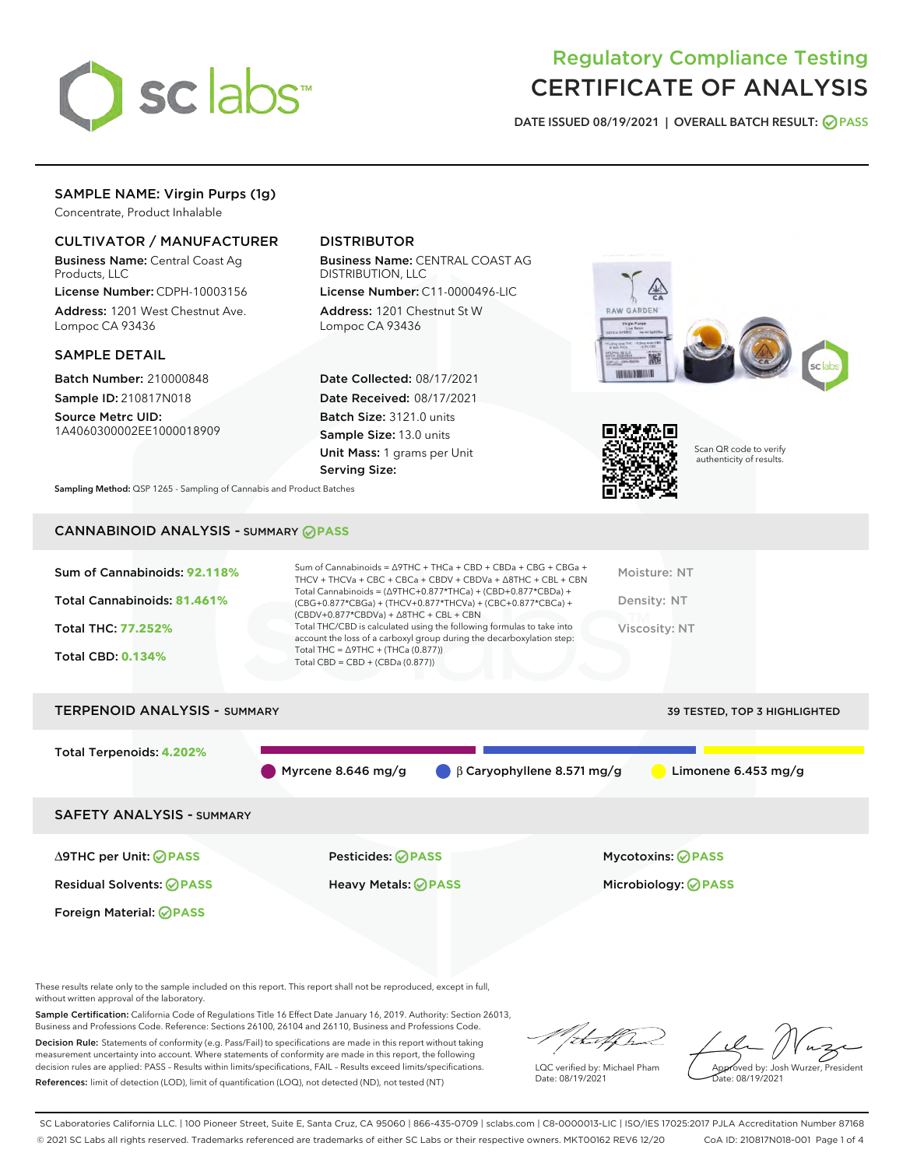

# Regulatory Compliance Testing CERTIFICATE OF ANALYSIS

DATE ISSUED 08/19/2021 | OVERALL BATCH RESULT: @ PASS

## SAMPLE NAME: Virgin Purps (1g)

Concentrate, Product Inhalable

## CULTIVATOR / MANUFACTURER

Business Name: Central Coast Ag Products, LLC

License Number: CDPH-10003156 Address: 1201 West Chestnut Ave. Lompoc CA 93436

### SAMPLE DETAIL

Batch Number: 210000848 Sample ID: 210817N018

Source Metrc UID: 1A4060300002EE1000018909

## DISTRIBUTOR

Business Name: CENTRAL COAST AG DISTRIBUTION, LLC

License Number: C11-0000496-LIC Address: 1201 Chestnut St W Lompoc CA 93436

Date Collected: 08/17/2021 Date Received: 08/17/2021 Batch Size: 3121.0 units Sample Size: 13.0 units Unit Mass: 1 grams per Unit Serving Size:





Scan QR code to verify authenticity of results.

Sampling Method: QSP 1265 - Sampling of Cannabis and Product Batches

## CANNABINOID ANALYSIS - SUMMARY **PASS**

| Sum of Cannabinoids: 92.118%<br>Total Cannabinoids: 81.461%<br><b>Total THC: 77.252%</b><br><b>Total CBD: 0.134%</b> | Sum of Cannabinoids = $\triangle$ 9THC + THCa + CBD + CBDa + CBG + CBGa +<br>THCV + THCVa + CBC + CBCa + CBDV + CBDVa + $\Delta$ 8THC + CBL + CBN<br>Total Cannabinoids = $(\Delta$ 9THC+0.877*THCa) + (CBD+0.877*CBDa) +<br>$(CBG+0.877*CBGa) + (THCV+0.877*THCVa) + (CBC+0.877*CBCa) +$<br>$(CBDV+0.877*CBDVa) + \Delta 8THC + CBL + CBN$<br>Total THC/CBD is calculated using the following formulas to take into<br>account the loss of a carboxyl group during the decarboxylation step:<br>Total THC = $\triangle$ 9THC + (THCa (0.877))<br>Total CBD = $CBD + (CBDa (0.877))$ | Moisture: NT<br>Density: NT<br>Viscosity: NT |
|----------------------------------------------------------------------------------------------------------------------|--------------------------------------------------------------------------------------------------------------------------------------------------------------------------------------------------------------------------------------------------------------------------------------------------------------------------------------------------------------------------------------------------------------------------------------------------------------------------------------------------------------------------------------------------------------------------------------|----------------------------------------------|
| <b>TERPENOID ANALYSIS - SUMMARY</b>                                                                                  |                                                                                                                                                                                                                                                                                                                                                                                                                                                                                                                                                                                      | 39 TESTED, TOP 3 HIGHLIGHTED                 |
|                                                                                                                      |                                                                                                                                                                                                                                                                                                                                                                                                                                                                                                                                                                                      |                                              |
| Total Terpenoids: 4.202%                                                                                             | $\beta$ Caryophyllene 8.571 mg/g<br>Myrcene 8.646 mg/g                                                                                                                                                                                                                                                                                                                                                                                                                                                                                                                               | Limonene 6.453 mg/g                          |

SAFETY ANALYSIS - SUMMARY

∆9THC per Unit: **PASS** Pesticides: **PASS** Mycotoxins: **PASS**

Foreign Material: **PASS**

Residual Solvents: **PASS** Heavy Metals: **PASS** Microbiology: **PASS**

These results relate only to the sample included on this report. This report shall not be reproduced, except in full, without written approval of the laboratory.

Sample Certification: California Code of Regulations Title 16 Effect Date January 16, 2019. Authority: Section 26013, Business and Professions Code. Reference: Sections 26100, 26104 and 26110, Business and Professions Code.

Decision Rule: Statements of conformity (e.g. Pass/Fail) to specifications are made in this report without taking measurement uncertainty into account. Where statements of conformity are made in this report, the following decision rules are applied: PASS – Results within limits/specifications, FAIL – Results exceed limits/specifications. References: limit of detection (LOD), limit of quantification (LOQ), not detected (ND), not tested (NT)

that f h

LQC verified by: Michael Pham Date: 08/19/2021

Approved by: Josh Wurzer, President ate: 08/19/2021

SC Laboratories California LLC. | 100 Pioneer Street, Suite E, Santa Cruz, CA 95060 | 866-435-0709 | sclabs.com | C8-0000013-LIC | ISO/IES 17025:2017 PJLA Accreditation Number 87168 © 2021 SC Labs all rights reserved. Trademarks referenced are trademarks of either SC Labs or their respective owners. MKT00162 REV6 12/20 CoA ID: 210817N018-001 Page 1 of 4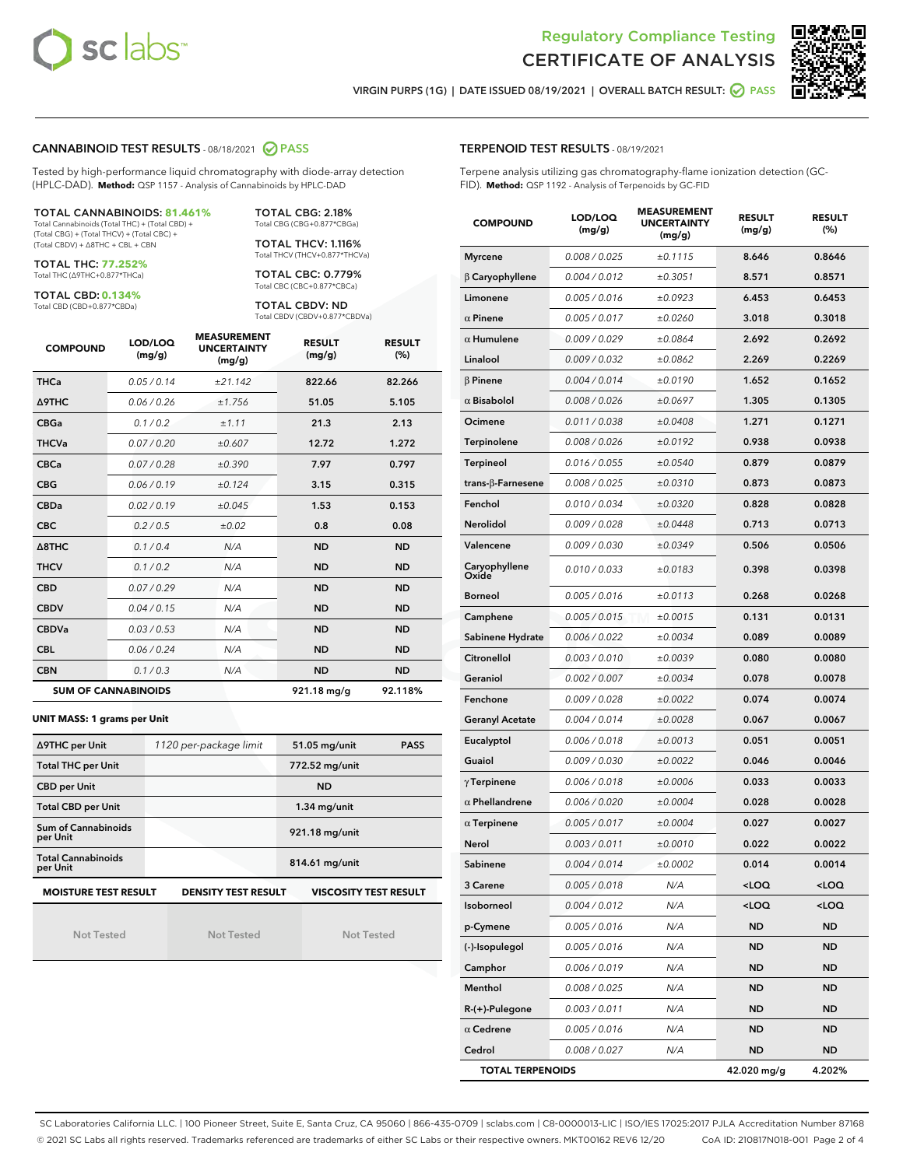



VIRGIN PURPS (1G) | DATE ISSUED 08/19/2021 | OVERALL BATCH RESULT: ◯ PASS

#### CANNABINOID TEST RESULTS - 08/18/2021 2 PASS

Tested by high-performance liquid chromatography with diode-array detection (HPLC-DAD). **Method:** QSP 1157 - Analysis of Cannabinoids by HPLC-DAD

TOTAL CANNABINOIDS: **81.461%** Total Cannabinoids (Total THC) + (Total CBD) +

(Total CBG) + (Total THCV) + (Total CBC) + (Total CBDV) + ∆8THC + CBL + CBN

TOTAL THC: **77.252%** Total THC (∆9THC+0.877\*THCa)

TOTAL CBD: **0.134%**

Total CBD (CBD+0.877\*CBDa)

TOTAL CBG: 2.18% Total CBG (CBG+0.877\*CBGa)

TOTAL THCV: 1.116% Total THCV (THCV+0.877\*THCVa)

TOTAL CBC: 0.779% Total CBC (CBC+0.877\*CBCa)

TOTAL CBDV: ND Total CBDV (CBDV+0.877\*CBDVa)

| <b>COMPOUND</b>  | LOD/LOQ<br>(mg/g)          | <b>MEASUREMENT</b><br><b>UNCERTAINTY</b><br>(mg/g) | <b>RESULT</b><br>(mg/g) | <b>RESULT</b><br>(%) |
|------------------|----------------------------|----------------------------------------------------|-------------------------|----------------------|
| <b>THCa</b>      | 0.05 / 0.14                | ±21.142                                            | 822.66                  | 82.266               |
| <b>A9THC</b>     | 0.06 / 0.26                | ±1.756                                             | 51.05                   | 5.105                |
| <b>CBGa</b>      | 0.1 / 0.2                  | ±1.11                                              | 21.3                    | 2.13                 |
| <b>THCVa</b>     | 0.07 / 0.20                | ±0.607                                             | 12.72                   | 1.272                |
| <b>CBCa</b>      | 0.07/0.28                  | ±0.390                                             | 7.97                    | 0.797                |
| <b>CBG</b>       | 0.06/0.19                  | ±0.124                                             | 3.15                    | 0.315                |
| <b>CBDa</b>      | 0.02/0.19                  | ±0.045                                             | 1.53                    | 0.153                |
| <b>CBC</b>       | 0.2 / 0.5                  | $\pm 0.02$                                         | 0.8                     | 0.08                 |
| $\triangle$ 8THC | 0.1/0.4                    | N/A                                                | <b>ND</b>               | <b>ND</b>            |
| <b>THCV</b>      | 0.1/0.2                    | N/A                                                | <b>ND</b>               | <b>ND</b>            |
| <b>CBD</b>       | 0.07/0.29                  | N/A                                                | <b>ND</b>               | <b>ND</b>            |
| <b>CBDV</b>      | 0.04 / 0.15                | N/A                                                | <b>ND</b>               | <b>ND</b>            |
| <b>CBDVa</b>     | 0.03/0.53                  | N/A                                                | <b>ND</b>               | <b>ND</b>            |
| <b>CBL</b>       | 0.06 / 0.24                | N/A                                                | <b>ND</b>               | <b>ND</b>            |
| <b>CBN</b>       | 0.1/0.3                    | N/A                                                | <b>ND</b>               | <b>ND</b>            |
|                  | <b>SUM OF CANNABINOIDS</b> |                                                    | 921.18 mg/g             | 92.118%              |

#### **UNIT MASS: 1 grams per Unit**

| ∆9THC per Unit                        | 1120 per-package limit     | 51.05 mg/unit<br><b>PASS</b> |  |
|---------------------------------------|----------------------------|------------------------------|--|
| <b>Total THC per Unit</b>             |                            | 772.52 mg/unit               |  |
| <b>CBD per Unit</b>                   |                            | <b>ND</b>                    |  |
| <b>Total CBD per Unit</b>             |                            | $1.34$ mg/unit               |  |
| Sum of Cannabinoids<br>per Unit       |                            | 921.18 mg/unit               |  |
| <b>Total Cannabinoids</b><br>per Unit |                            | 814.61 mg/unit               |  |
| <b>MOISTURE TEST RESULT</b>           | <b>DENSITY TEST RESULT</b> | <b>VISCOSITY TEST RESULT</b> |  |

Not Tested

Not Tested

Not Tested

#### TERPENOID TEST RESULTS - 08/19/2021

Terpene analysis utilizing gas chromatography-flame ionization detection (GC-FID). **Method:** QSP 1192 - Analysis of Terpenoids by GC-FID

| <b>COMPOUND</b>         | LOD/LOQ<br>(mg/g) | <b>MEASUREMENT</b><br><b>UNCERTAINTY</b><br>(mg/g) | <b>RESULT</b><br>(mg/g)                         | <b>RESULT</b><br>(% ) |
|-------------------------|-------------------|----------------------------------------------------|-------------------------------------------------|-----------------------|
| <b>Myrcene</b>          | 0.008 / 0.025     | ±0.1115                                            | 8.646                                           | 0.8646                |
| $\beta$ Caryophyllene   | 0.004 / 0.012     | ±0.3051                                            | 8.571                                           | 0.8571                |
| Limonene                | 0.005 / 0.016     | ±0.0923                                            | 6.453                                           | 0.6453                |
| $\alpha$ Pinene         | 0.005 / 0.017     | ±0.0260                                            | 3.018                                           | 0.3018                |
| $\alpha$ Humulene       | 0.009 / 0.029     | ±0.0864                                            | 2.692                                           | 0.2692                |
| Linalool                | 0.009 / 0.032     | ±0.0862                                            | 2.269                                           | 0.2269                |
| $\beta$ Pinene          | 0.004 / 0.014     | ±0.0190                                            | 1.652                                           | 0.1652                |
| $\alpha$ Bisabolol      | 0.008 / 0.026     | ±0.0697                                            | 1.305                                           | 0.1305                |
| Ocimene                 | 0.011 / 0.038     | ±0.0408                                            | 1.271                                           | 0.1271                |
| Terpinolene             | 0.008 / 0.026     | ±0.0192                                            | 0.938                                           | 0.0938                |
| Terpineol               | 0.016 / 0.055     | ±0.0540                                            | 0.879                                           | 0.0879                |
| trans-β-Farnesene       | 0.008 / 0.025     | ±0.0310                                            | 0.873                                           | 0.0873                |
| Fenchol                 | 0.010 / 0.034     | ±0.0320                                            | 0.828                                           | 0.0828                |
| Nerolidol               | 0.009 / 0.028     | ±0.0448                                            | 0.713                                           | 0.0713                |
| Valencene               | 0.009 / 0.030     | ±0.0349                                            | 0.506                                           | 0.0506                |
| Caryophyllene<br>Oxide  | 0.010 / 0.033     | ±0.0183                                            | 0.398                                           | 0.0398                |
| <b>Borneol</b>          | 0.005 / 0.016     | ±0.0113                                            | 0.268                                           | 0.0268                |
| Camphene                | 0.005 / 0.015     | ±0.0015                                            | 0.131                                           | 0.0131                |
| Sabinene Hydrate        | 0.006 / 0.022     | ±0.0034                                            | 0.089                                           | 0.0089                |
| Citronellol             | 0.003 / 0.010     | ±0.0039                                            | 0.080                                           | 0.0080                |
| Geraniol                | 0.002 / 0.007     | ±0.0034                                            | 0.078                                           | 0.0078                |
| Fenchone                | 0.009 / 0.028     | ±0.0022                                            | 0.074                                           | 0.0074                |
| <b>Geranyl Acetate</b>  | 0.004 / 0.014     | ±0.0028                                            | 0.067                                           | 0.0067                |
| Eucalyptol              | 0.006 / 0.018     | ±0.0013                                            | 0.051                                           | 0.0051                |
| Guaiol                  | 0.009 / 0.030     | ±0.0022                                            | 0.046                                           | 0.0046                |
| $\gamma$ Terpinene      | 0.006 / 0.018     | ±0.0006                                            | 0.033                                           | 0.0033                |
| $\alpha$ Phellandrene   | 0.006 / 0.020     | ±0.0004                                            | 0.028                                           | 0.0028                |
| $\alpha$ Terpinene      | 0.005 / 0.017     | ±0.0004                                            | 0.027                                           | 0.0027                |
| Nerol                   | 0.003 / 0.011     | ±0.0010                                            | 0.022                                           | 0.0022                |
| Sabinene                | 0.004 / 0.014     | ±0.0002                                            | 0.014                                           | 0.0014                |
| 3 Carene                | 0.005 / 0.018     | N/A                                                | <loq< th=""><th><loq< th=""></loq<></th></loq<> | <loq< th=""></loq<>   |
| Isoborneol              | 0.004 / 0.012     | N/A                                                | <loq< th=""><th><loq< th=""></loq<></th></loq<> | <loq< th=""></loq<>   |
| p-Cymene                | 0.005 / 0.016     | N/A                                                | ND                                              | ND                    |
| (-)-Isopulegol          | 0.005 / 0.016     | N/A                                                | ND                                              | ND                    |
| Camphor                 | 0.006 / 0.019     | N/A                                                | ND                                              | ND                    |
| Menthol                 | 0.008 / 0.025     | N/A                                                | ND                                              | ND                    |
| $R-(+)$ -Pulegone       | 0.003 / 0.011     | N/A                                                | ND                                              | ND                    |
| $\alpha$ Cedrene        | 0.005 / 0.016     | N/A                                                | ND                                              | ND                    |
| Cedrol                  | 0.008 / 0.027     | N/A                                                | ND                                              | ND                    |
| <b>TOTAL TERPENOIDS</b> |                   |                                                    | 42.020 mg/g                                     | 4.202%                |

SC Laboratories California LLC. | 100 Pioneer Street, Suite E, Santa Cruz, CA 95060 | 866-435-0709 | sclabs.com | C8-0000013-LIC | ISO/IES 17025:2017 PJLA Accreditation Number 87168 © 2021 SC Labs all rights reserved. Trademarks referenced are trademarks of either SC Labs or their respective owners. MKT00162 REV6 12/20 CoA ID: 210817N018-001 Page 2 of 4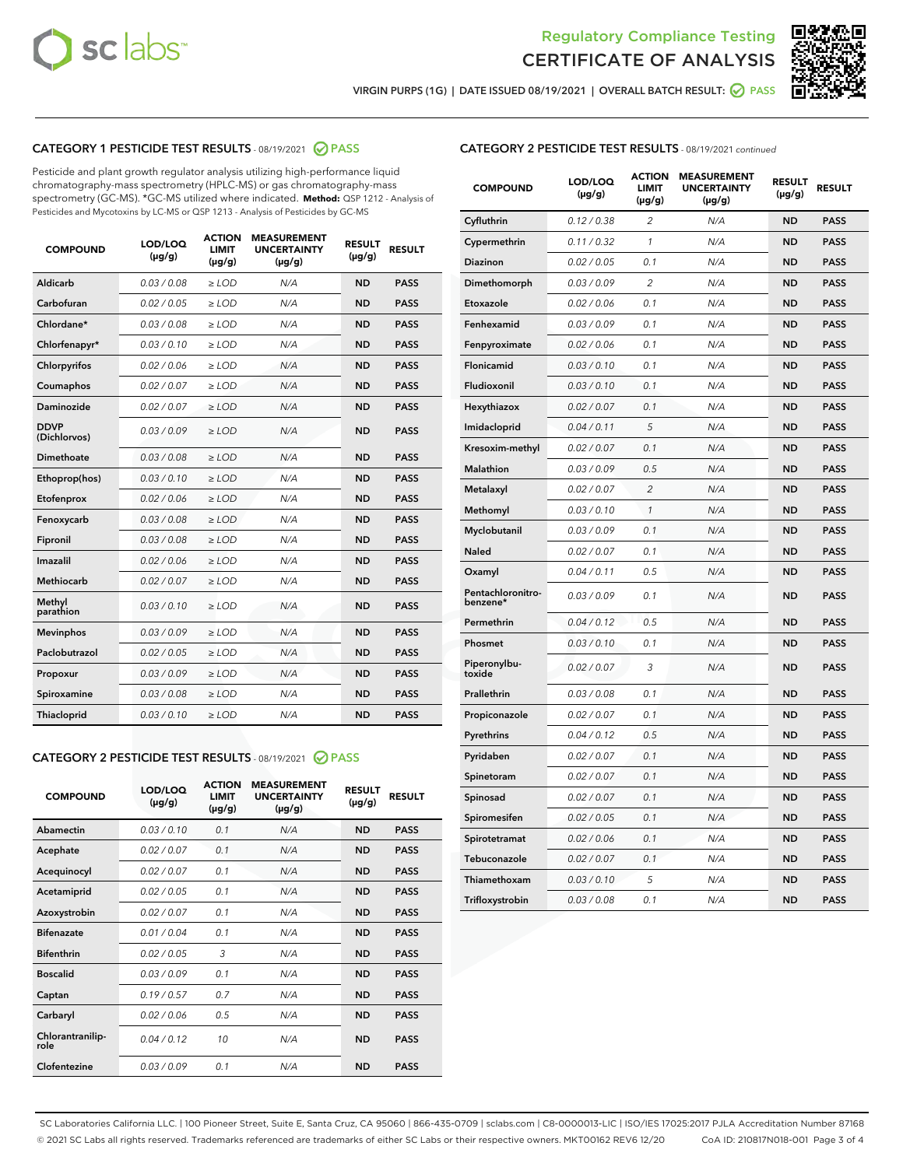



VIRGIN PURPS (1G) | DATE ISSUED 08/19/2021 | OVERALL BATCH RESULT: ● PASS

## CATEGORY 1 PESTICIDE TEST RESULTS - 08/19/2021 2 PASS

Pesticide and plant growth regulator analysis utilizing high-performance liquid chromatography-mass spectrometry (HPLC-MS) or gas chromatography-mass spectrometry (GC-MS). \*GC-MS utilized where indicated. **Method:** QSP 1212 - Analysis of Pesticides and Mycotoxins by LC-MS or QSP 1213 - Analysis of Pesticides by GC-MS

| <b>COMPOUND</b>             | LOD/LOQ<br>$(\mu g/g)$ | <b>ACTION</b><br><b>LIMIT</b><br>$(\mu g/g)$ | <b>MEASUREMENT</b><br><b>UNCERTAINTY</b><br>$(\mu g/g)$ | <b>RESULT</b><br>$(\mu g/g)$ | <b>RESULT</b> |
|-----------------------------|------------------------|----------------------------------------------|---------------------------------------------------------|------------------------------|---------------|
| Aldicarb                    | 0.03 / 0.08            | $\ge$ LOD                                    | N/A                                                     | <b>ND</b>                    | <b>PASS</b>   |
| Carbofuran                  | 0.02 / 0.05            | $\geq$ LOD                                   | N/A                                                     | <b>ND</b>                    | <b>PASS</b>   |
| Chlordane*                  | 0.03 / 0.08            | $\ge$ LOD                                    | N/A                                                     | <b>ND</b>                    | <b>PASS</b>   |
| Chlorfenapyr*               | 0.03/0.10              | $\ge$ LOD                                    | N/A                                                     | <b>ND</b>                    | <b>PASS</b>   |
| Chlorpyrifos                | 0.02 / 0.06            | $\geq$ LOD                                   | N/A                                                     | <b>ND</b>                    | <b>PASS</b>   |
| Coumaphos                   | 0.02 / 0.07            | $\ge$ LOD                                    | N/A                                                     | <b>ND</b>                    | <b>PASS</b>   |
| Daminozide                  | 0.02 / 0.07            | $\ge$ LOD                                    | N/A                                                     | <b>ND</b>                    | <b>PASS</b>   |
| <b>DDVP</b><br>(Dichlorvos) | 0.03/0.09              | $>$ LOD                                      | N/A                                                     | <b>ND</b>                    | <b>PASS</b>   |
| Dimethoate                  | 0.03/0.08              | $\ge$ LOD                                    | N/A                                                     | <b>ND</b>                    | <b>PASS</b>   |
| Ethoprop(hos)               | 0.03 / 0.10            | $>$ LOD                                      | N/A                                                     | <b>ND</b>                    | <b>PASS</b>   |
| Etofenprox                  | 0.02 / 0.06            | $\ge$ LOD                                    | N/A                                                     | <b>ND</b>                    | <b>PASS</b>   |
| Fenoxycarb                  | 0.03/0.08              | $\ge$ LOD                                    | N/A                                                     | <b>ND</b>                    | <b>PASS</b>   |
| Fipronil                    | 0.03/0.08              | $\ge$ LOD                                    | N/A                                                     | <b>ND</b>                    | <b>PASS</b>   |
| Imazalil                    | 0.02 / 0.06            | $>$ LOD                                      | N/A                                                     | <b>ND</b>                    | <b>PASS</b>   |
| <b>Methiocarb</b>           | 0.02 / 0.07            | $\ge$ LOD                                    | N/A                                                     | <b>ND</b>                    | <b>PASS</b>   |
| Methyl<br>parathion         | 0.03/0.10              | $\ge$ LOD                                    | N/A                                                     | <b>ND</b>                    | <b>PASS</b>   |
| <b>Mevinphos</b>            | 0.03/0.09              | $\ge$ LOD                                    | N/A                                                     | <b>ND</b>                    | <b>PASS</b>   |
| Paclobutrazol               | 0.02 / 0.05            | $>$ LOD                                      | N/A                                                     | <b>ND</b>                    | <b>PASS</b>   |
| Propoxur                    | 0.03/0.09              | $\ge$ LOD                                    | N/A                                                     | <b>ND</b>                    | <b>PASS</b>   |
| Spiroxamine                 | 0.03 / 0.08            | $\ge$ LOD                                    | N/A                                                     | <b>ND</b>                    | <b>PASS</b>   |
| Thiacloprid                 | 0.03/0.10              | $\ge$ LOD                                    | N/A                                                     | <b>ND</b>                    | <b>PASS</b>   |

#### CATEGORY 2 PESTICIDE TEST RESULTS - 08/19/2021 @ PASS

| <b>COMPOUND</b>          | LOD/LOO<br>$(\mu g/g)$ | <b>ACTION</b><br>LIMIT<br>$(\mu g/g)$ | <b>MEASUREMENT</b><br><b>UNCERTAINTY</b><br>$(\mu g/g)$ | <b>RESULT</b><br>$(\mu g/g)$ | <b>RESULT</b> |  |
|--------------------------|------------------------|---------------------------------------|---------------------------------------------------------|------------------------------|---------------|--|
| Abamectin                | 0.03/0.10              | 0.1                                   | N/A                                                     | <b>ND</b>                    | <b>PASS</b>   |  |
| Acephate                 | 0.02/0.07              | 0.1                                   | N/A                                                     | <b>ND</b>                    | <b>PASS</b>   |  |
| Acequinocyl              | 0.02/0.07              | 0.1                                   | N/A                                                     | <b>ND</b>                    | <b>PASS</b>   |  |
| Acetamiprid              | 0.02 / 0.05            | 0.1                                   | N/A                                                     | <b>ND</b>                    | <b>PASS</b>   |  |
| Azoxystrobin             | 0.02/0.07              | 0.1                                   | N/A                                                     | <b>ND</b>                    | <b>PASS</b>   |  |
| <b>Bifenazate</b>        | 0.01 / 0.04            | 0.1                                   | N/A                                                     | <b>ND</b>                    | <b>PASS</b>   |  |
| <b>Bifenthrin</b>        | 0.02 / 0.05            | 3                                     | N/A                                                     | <b>ND</b>                    | <b>PASS</b>   |  |
| <b>Boscalid</b>          | 0.03/0.09              | 0.1                                   | N/A                                                     | <b>ND</b>                    | <b>PASS</b>   |  |
| Captan                   | 0.19/0.57              | 0.7                                   | N/A                                                     | <b>ND</b>                    | <b>PASS</b>   |  |
| Carbaryl                 | 0.02/0.06              | 0.5                                   | N/A                                                     | <b>ND</b>                    | <b>PASS</b>   |  |
| Chlorantranilip-<br>role | 0.04/0.12              | 10                                    | N/A                                                     | <b>ND</b>                    | <b>PASS</b>   |  |
| Clofentezine             | 0.03/0.09              | 0.1                                   | N/A                                                     | <b>ND</b>                    | <b>PASS</b>   |  |

| <b>CATEGORY 2 PESTICIDE TEST RESULTS</b> - 08/19/2021 continued |  |
|-----------------------------------------------------------------|--|
|                                                                 |  |

| <b>COMPOUND</b>               | LOD/LOQ<br>(µg/g) | <b>ACTION</b><br>LIMIT<br>$(\mu g/g)$ | <b>MEASUREMENT</b><br><b>UNCERTAINTY</b><br>(µg/g) | <b>RESULT</b><br>(µg/g) | <b>RESULT</b> |
|-------------------------------|-------------------|---------------------------------------|----------------------------------------------------|-------------------------|---------------|
| Cyfluthrin                    | 0.12 / 0.38       | 2                                     | N/A                                                | <b>ND</b>               | <b>PASS</b>   |
| Cypermethrin                  | 0.11 / 0.32       | $\mathcal{I}$                         | N/A                                                | <b>ND</b>               | <b>PASS</b>   |
| Diazinon                      | 0.02 / 0.05       | 0.1                                   | N/A                                                | ND                      | <b>PASS</b>   |
| Dimethomorph                  | 0.03 / 0.09       | 2                                     | N/A                                                | <b>ND</b>               | <b>PASS</b>   |
| Etoxazole                     | 0.02 / 0.06       | 0.1                                   | N/A                                                | <b>ND</b>               | <b>PASS</b>   |
| Fenhexamid                    | 0.03 / 0.09       | 0.1                                   | N/A                                                | <b>ND</b>               | <b>PASS</b>   |
| Fenpyroximate                 | 0.02 / 0.06       | 0.1                                   | N/A                                                | <b>ND</b>               | <b>PASS</b>   |
| Flonicamid                    | 0.03 / 0.10       | 0.1                                   | N/A                                                | <b>ND</b>               | <b>PASS</b>   |
| Fludioxonil                   | 0.03 / 0.10       | 0.1                                   | N/A                                                | <b>ND</b>               | <b>PASS</b>   |
| Hexythiazox                   | 0.02 / 0.07       | 0.1                                   | N/A                                                | <b>ND</b>               | <b>PASS</b>   |
| Imidacloprid                  | 0.04 / 0.11       | 5                                     | N/A                                                | <b>ND</b>               | <b>PASS</b>   |
| Kresoxim-methyl               | 0.02 / 0.07       | 0.1                                   | N/A                                                | <b>ND</b>               | <b>PASS</b>   |
| <b>Malathion</b>              | 0.03 / 0.09       | 0.5                                   | N/A                                                | <b>ND</b>               | <b>PASS</b>   |
| Metalaxyl                     | 0.02 / 0.07       | $\overline{2}$                        | N/A                                                | <b>ND</b>               | <b>PASS</b>   |
| Methomyl                      | 0.03 / 0.10       | 1                                     | N/A                                                | <b>ND</b>               | <b>PASS</b>   |
| Myclobutanil                  | 0.03 / 0.09       | 0.1                                   | N/A                                                | <b>ND</b>               | <b>PASS</b>   |
| Naled                         | 0.02 / 0.07       | 0.1                                   | N/A                                                | <b>ND</b>               | <b>PASS</b>   |
| Oxamyl                        | 0.04 / 0.11       | 0.5                                   | N/A                                                | <b>ND</b>               | <b>PASS</b>   |
| Pentachloronitro-<br>benzene* | 0.03 / 0.09       | 0.1                                   | N/A                                                | <b>ND</b>               | <b>PASS</b>   |
| Permethrin                    | 0.04 / 0.12       | 0.5                                   | N/A                                                | <b>ND</b>               | <b>PASS</b>   |
| Phosmet                       | 0.03/0.10         | 0.1                                   | N/A                                                | <b>ND</b>               | <b>PASS</b>   |
| Piperonylbu-<br>toxide        | 0.02 / 0.07       | 3                                     | N/A                                                | <b>ND</b>               | <b>PASS</b>   |
| Prallethrin                   | 0.03 / 0.08       | 0.1                                   | N/A                                                | <b>ND</b>               | <b>PASS</b>   |
| Propiconazole                 | 0.02 / 0.07       | 0.1                                   | N/A                                                | <b>ND</b>               | <b>PASS</b>   |
| Pyrethrins                    | 0.04 / 0.12       | 0.5                                   | N/A                                                | <b>ND</b>               | <b>PASS</b>   |
| Pyridaben                     | 0.02 / 0.07       | 0.1                                   | N/A                                                | <b>ND</b>               | <b>PASS</b>   |
| Spinetoram                    | 0.02 / 0.07       | 0.1                                   | N/A                                                | <b>ND</b>               | <b>PASS</b>   |
| Spinosad                      | 0.02 / 0.07       | 0.1                                   | N/A                                                | <b>ND</b>               | <b>PASS</b>   |
| Spiromesifen                  | 0.02 / 0.05       | 0.1                                   | N/A                                                | <b>ND</b>               | <b>PASS</b>   |
| Spirotetramat                 | 0.02 / 0.06       | 0.1                                   | N/A                                                | <b>ND</b>               | <b>PASS</b>   |
| Tebuconazole                  | 0.02 / 0.07       | 0.1                                   | N/A                                                | <b>ND</b>               | <b>PASS</b>   |
| Thiamethoxam                  | 0.03 / 0.10       | 5                                     | N/A                                                | <b>ND</b>               | <b>PASS</b>   |
| Trifloxystrobin               | 0.03 / 0.08       | 0.1                                   | N/A                                                | <b>ND</b>               | <b>PASS</b>   |

SC Laboratories California LLC. | 100 Pioneer Street, Suite E, Santa Cruz, CA 95060 | 866-435-0709 | sclabs.com | C8-0000013-LIC | ISO/IES 17025:2017 PJLA Accreditation Number 87168 © 2021 SC Labs all rights reserved. Trademarks referenced are trademarks of either SC Labs or their respective owners. MKT00162 REV6 12/20 CoA ID: 210817N018-001 Page 3 of 4